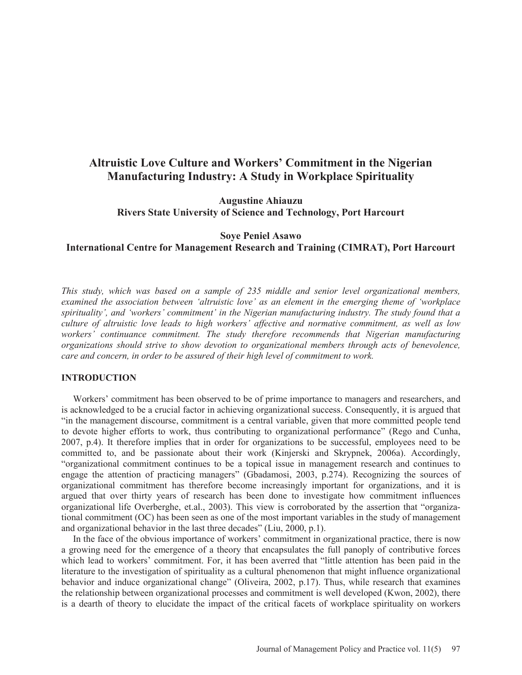# **Altruistic Love Culture and Workers' Commitment in the Nigerian Manufacturing Industry: A Study in Workplace Spirituality**

**Augustine Ahiauzu Rivers State University of Science and Technology, Port Harcourt**

## **Soye Peniel Asawo International Centre for Management Research and Training (CIMRAT), Port Harcourt**

*This study, which was based on a sample of 235 middle and senior level organizational members, examined the association between 'altruistic love' as an element in the emerging theme of 'workplace spirituality', and 'workers' commitment' in the Nigerian manufacturing industry. The study found that a culture of altruistic love leads to high workers' affective and normative commitment, as well as low workers' continuance commitment. The study therefore recommends that Nigerian manufacturing organizations should strive to show devotion to organizational members through acts of benevolence, care and concern, in order to be assured of their high level of commitment to work.* 

### **INTRODUCTION**

 Workers' commitment has been observed to be of prime importance to managers and researchers, and is acknowledged to be a crucial factor in achieving organizational success. Consequently, it is argued that "in the management discourse, commitment is a central variable, given that more committed people tend to devote higher efforts to work, thus contributing to organizational performance" (Rego and Cunha, 2007, p.4). It therefore implies that in order for organizations to be successful, employees need to be committed to, and be passionate about their work (Kinjerski and Skrypnek, 2006a). Accordingly, "organizational commitment continues to be a topical issue in management research and continues to engage the attention of practicing managers" (Gbadamosi, 2003, p.274). Recognizing the sources of organizational commitment has therefore become increasingly important for organizations, and it is argued that over thirty years of research has been done to investigate how commitment influences organizational life Overberghe, et.al., 2003). This view is corroborated by the assertion that "organizational commitment (OC) has been seen as one of the most important variables in the study of management and organizational behavior in the last three decades" (Liu, 2000, p.1).

 In the face of the obvious importance of workers' commitment in organizational practice, there is now a growing need for the emergence of a theory that encapsulates the full panoply of contributive forces which lead to workers' commitment. For, it has been averred that "little attention has been paid in the literature to the investigation of spirituality as a cultural phenomenon that might influence organizational behavior and induce organizational change" (Oliveira, 2002, p.17). Thus, while research that examines the relationship between organizational processes and commitment is well developed (Kwon, 2002), there is a dearth of theory to elucidate the impact of the critical facets of workplace spirituality on workers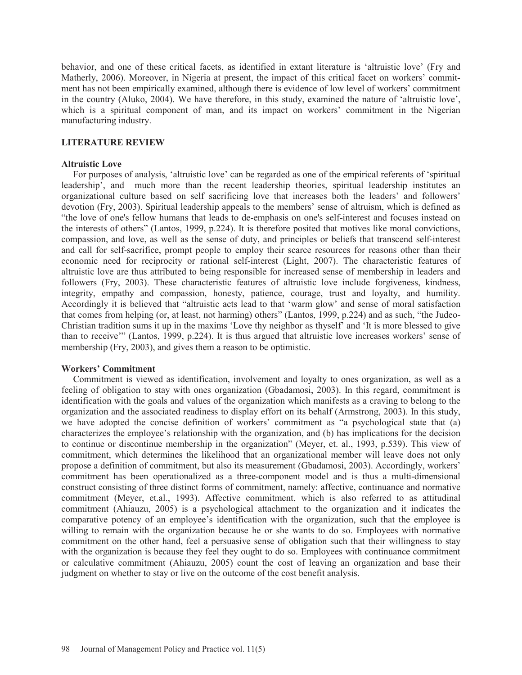behavior, and one of these critical facets, as identified in extant literature is 'altruistic love' (Fry and Matherly, 2006). Moreover, in Nigeria at present, the impact of this critical facet on workers' commitment has not been empirically examined, although there is evidence of low level of workers' commitment in the country (Aluko, 2004). We have therefore, in this study, examined the nature of 'altruistic love', which is a spiritual component of man, and its impact on workers' commitment in the Nigerian manufacturing industry.

### **LITERATURE REVIEW**

### **Altruistic Love**

 For purposes of analysis, 'altruistic love' can be regarded as one of the empirical referents of 'spiritual leadership', and much more than the recent leadership theories, spiritual leadership institutes an organizational culture based on self sacrificing love that increases both the leaders' and followers' devotion (Fry, 2003). Spiritual leadership appeals to the members' sense of altruism, which is defined as "the love of one's fellow humans that leads to de-emphasis on one's self-interest and focuses instead on the interests of others" (Lantos, 1999, p.224). It is therefore posited that motives like moral convictions, compassion, and love, as well as the sense of duty, and principles or beliefs that transcend self-interest and call for self-sacrifice, prompt people to employ their scarce resources for reasons other than their economic need for reciprocity or rational self-interest (Light, 2007). The characteristic features of altruistic love are thus attributed to being responsible for increased sense of membership in leaders and followers (Fry, 2003). These characteristic features of altruistic love include forgiveness, kindness, integrity, empathy and compassion, honesty, patience, courage, trust and loyalty, and humility. Accordingly it is believed that "altruistic acts lead to that 'warm glow' and sense of moral satisfaction that comes from helping (or, at least, not harming) others" (Lantos, 1999, p.224) and as such, "the Judeo-Christian tradition sums it up in the maxims 'Love thy neighbor as thyself' and 'It is more blessed to give than to receive'" (Lantos, 1999, p.224). It is thus argued that altruistic love increases workers' sense of membership (Fry, 2003), and gives them a reason to be optimistic.

#### **Workers' Commitment**

 Commitment is viewed as identification, involvement and loyalty to ones organization, as well as a feeling of obligation to stay with ones organization (Gbadamosi, 2003). In this regard, commitment is identification with the goals and values of the organization which manifests as a craving to belong to the organization and the associated readiness to display effort on its behalf (Armstrong, 2003). In this study, we have adopted the concise definition of workers' commitment as "a psychological state that (a) characterizes the employee's relationship with the organization, and (b) has implications for the decision to continue or discontinue membership in the organization" (Meyer, et. al., 1993, p.539). This view of commitment, which determines the likelihood that an organizational member will leave does not only propose a definition of commitment, but also its measurement (Gbadamosi, 2003). Accordingly, workers' commitment has been operationalized as a three-component model and is thus a multi-dimensional construct consisting of three distinct forms of commitment, namely: affective, continuance and normative commitment (Meyer, et.al., 1993). Affective commitment, which is also referred to as attitudinal commitment (Ahiauzu, 2005) is a psychological attachment to the organization and it indicates the comparative potency of an employee's identification with the organization, such that the employee is willing to remain with the organization because he or she wants to do so. Employees with normative commitment on the other hand, feel a persuasive sense of obligation such that their willingness to stay with the organization is because they feel they ought to do so. Employees with continuance commitment or calculative commitment (Ahiauzu, 2005) count the cost of leaving an organization and base their judgment on whether to stay or live on the outcome of the cost benefit analysis.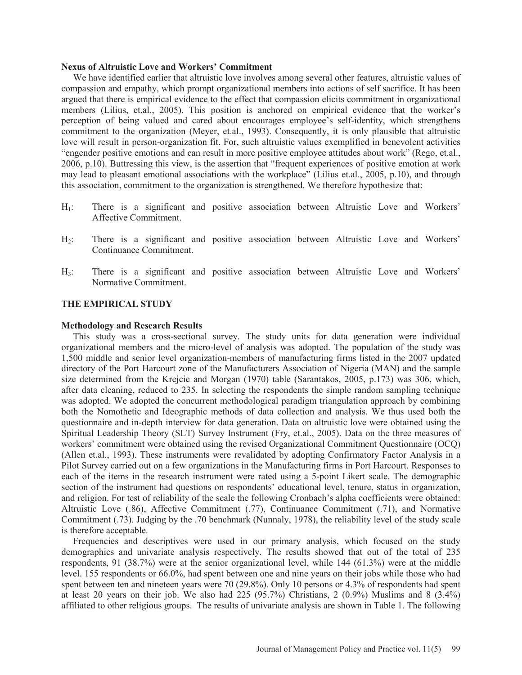#### **Nexus of Altruistic Love and Workers' Commitment**

 We have identified earlier that altruistic love involves among several other features, altruistic values of compassion and empathy, which prompt organizational members into actions of self sacrifice. It has been argued that there is empirical evidence to the effect that compassion elicits commitment in organizational members (Lilius, et.al., 2005). This position is anchored on empirical evidence that the worker's perception of being valued and cared about encourages employee's self-identity, which strengthens commitment to the organization (Meyer, et.al., 1993). Consequently, it is only plausible that altruistic love will result in person-organization fit. For, such altruistic values exemplified in benevolent activities "engender positive emotions and can result in more positive employee attitudes about work" (Rego, et.al., 2006, p.10). Buttressing this view, is the assertion that "frequent experiences of positive emotion at work may lead to pleasant emotional associations with the workplace" (Lilius et.al., 2005, p.10), and through this association, commitment to the organization is strengthened. We therefore hypothesize that:

- H<sub>1</sub>: There is a significant and positive association between Altruistic Love and Workers' Affective Commitment.
- H2: There is a significant and positive association between Altruistic Love and Workers' Continuance Commitment.
- H3: There is a significant and positive association between Altruistic Love and Workers' Normative Commitment.

### **THE EMPIRICAL STUDY**

#### **Methodology and Research Results**

 This study was a cross-sectional survey. The study units for data generation were individual organizational members and the micro-level of analysis was adopted. The population of the study was 1,500 middle and senior level organization-members of manufacturing firms listed in the 2007 updated directory of the Port Harcourt zone of the Manufacturers Association of Nigeria (MAN) and the sample size determined from the Krejcie and Morgan (1970) table (Sarantakos, 2005, p.173) was 306, which, after data cleaning, reduced to 235. In selecting the respondents the simple random sampling technique was adopted. We adopted the concurrent methodological paradigm triangulation approach by combining both the Nomothetic and Ideographic methods of data collection and analysis. We thus used both the questionnaire and in-depth interview for data generation. Data on altruistic love were obtained using the Spiritual Leadership Theory (SLT) Survey Instrument (Fry, et.al., 2005). Data on the three measures of workers' commitment were obtained using the revised Organizational Commitment Questionnaire (OCQ) (Allen et.al., 1993). These instruments were revalidated by adopting Confirmatory Factor Analysis in a Pilot Survey carried out on a few organizations in the Manufacturing firms in Port Harcourt. Responses to each of the items in the research instrument were rated using a 5-point Likert scale. The demographic section of the instrument had questions on respondents' educational level, tenure, status in organization, and religion. For test of reliability of the scale the following Cronbach's alpha coefficients were obtained: Altruistic Love (.86), Affective Commitment (.77), Continuance Commitment (.71), and Normative Commitment (.73). Judging by the .70 benchmark (Nunnaly, 1978), the reliability level of the study scale is therefore acceptable.

 Frequencies and descriptives were used in our primary analysis, which focused on the study demographics and univariate analysis respectively. The results showed that out of the total of 235 respondents, 91 (38.7%) were at the senior organizational level, while 144 (61.3%) were at the middle level. 155 respondents or 66.0%, had spent between one and nine years on their jobs while those who had spent between ten and nineteen years were 70 (29.8%). Only 10 persons or 4.3% of respondents had spent at least 20 years on their job. We also had  $225 (95.7%)$  Christians, 2  $(0.9%)$  Muslims and 8  $(3.4%)$ affiliated to other religious groups. The results of univariate analysis are shown in Table 1. The following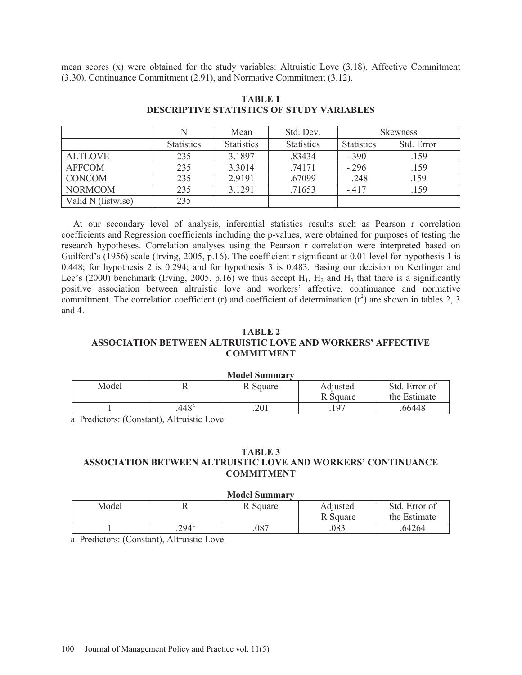mean scores (x) were obtained for the study variables: Altruistic Love (3.18), Affective Commitment (3.30), Continuance Commitment (2.91), and Normative Commitment (3.12).

|                    |                   | Mean              | Std. Dev.         | <b>Skewness</b>   |            |
|--------------------|-------------------|-------------------|-------------------|-------------------|------------|
|                    | <b>Statistics</b> | <b>Statistics</b> | <b>Statistics</b> | <b>Statistics</b> | Std. Error |
| <b>ALTLOVE</b>     | 235               | 3.1897            | .83434            | $-390$            | .159       |
| <b>AFFCOM</b>      | 235               | 3.3014            | .74171            | $-.296$           | .159       |
| <b>CONCOM</b>      | 235               | 2.9191            | .67099            | .248              | .159       |
| <b>NORMCOM</b>     | 235               | 3.1291            | .71653            | $-417$            | .159       |
| Valid N (listwise) | 235               |                   |                   |                   |            |

### **TABLE 1 DESCRIPTIVE STATISTICS OF STUDY VARIABLES**

 At our secondary level of analysis, inferential statistics results such as Pearson r correlation coefficients and Regression coefficients including the p-values, were obtained for purposes of testing the research hypotheses. Correlation analyses using the Pearson r correlation were interpreted based on Guilford's (1956) scale (Irving, 2005, p.16). The coefficient r significant at 0.01 level for hypothesis 1 is 0.448; for hypothesis 2 is 0.294; and for hypothesis 3 is 0.483. Basing our decision on Kerlinger and Lee's (2000) benchmark (Irving, 2005, p.16) we thus accept  $H_1$ ,  $H_2$  and  $H_3$  that there is a significantly positive association between altruistic love and workers' affective, continuance and normative commitment. The correlation coefficient (r) and coefficient of determination  $(r^2)$  are shown in tables 2, 3 and 4.

### **TABLE 2 ASSOCIATION BETWEEN ALTRUISTIC LOVE AND WORKERS' AFFECTIVE COMMITMENT**

| <b>Model Summary</b> |                |          |          |               |  |
|----------------------|----------------|----------|----------|---------------|--|
| Model                |                | R Square | Adjusted | Std. Error of |  |
|                      |                |          | R Square | the Estimate  |  |
|                      | $.448^{\circ}$ | .201     | 197      | 66448         |  |

a. Predictors: (Constant), Altruistic Love

### **TABLE 3 ASSOCIATION BETWEEN ALTRUISTIC LOVE AND WORKERS' CONTINUANCE COMMITMENT**

| <b>Model Summary</b> |               |          |          |               |  |
|----------------------|---------------|----------|----------|---------------|--|
| Model                |               | R Square | Adjusted | Std. Error of |  |
|                      |               |          | R Square | the Estimate  |  |
|                      | $294^{\circ}$ | 087      | 083      | .64264        |  |

a. Predictors: (Constant), Altruistic Love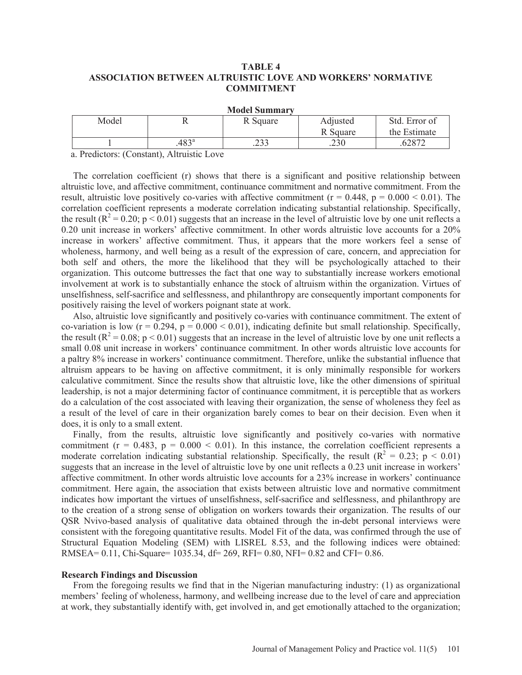### **TABLE 4 ASSOCIATION BETWEEN ALTRUISTIC LOVE AND WORKERS' NORMATIVE COMMITMENT**

| $\cdots$ |                |               |          |               |  |
|----------|----------------|---------------|----------|---------------|--|
| Model    | **             | Square        | Adjusted | Std. Error of |  |
|          |                |               | R Square | the Estimate  |  |
|          | $.483^{\circ}$ | つつつ<br>ر ريے. | .230     | ລວຕາ          |  |

**Model Summary** 

a. Predictors: (Constant), Altruistic Love

 The correlation coefficient (r) shows that there is a significant and positive relationship between altruistic love, and affective commitment, continuance commitment and normative commitment. From the result, altruistic love positively co-varies with affective commitment ( $r = 0.448$ ,  $p = 0.000 < 0.01$ ). The correlation coefficient represents a moderate correlation indicating substantial relationship. Specifically, the result ( $R^2 = 0.20$ ;  $p < 0.01$ ) suggests that an increase in the level of altruistic love by one unit reflects a 0.20 unit increase in workers' affective commitment. In other words altruistic love accounts for a 20% increase in workers' affective commitment. Thus, it appears that the more workers feel a sense of wholeness, harmony, and well being as a result of the expression of care, concern, and appreciation for both self and others, the more the likelihood that they will be psychologically attached to their organization. This outcome buttresses the fact that one way to substantially increase workers emotional involvement at work is to substantially enhance the stock of altruism within the organization. Virtues of unselfishness, self-sacrifice and selflessness, and philanthropy are consequently important components for positively raising the level of workers poignant state at work.

 Also, altruistic love significantly and positively co-varies with continuance commitment. The extent of co-variation is low  $(r = 0.294, p = 0.000 < 0.01)$ , indicating definite but small relationship. Specifically, the result ( $R^2 = 0.08$ ;  $p < 0.01$ ) suggests that an increase in the level of altruistic love by one unit reflects a small 0.08 unit increase in workers' continuance commitment. In other words altruistic love accounts for a paltry 8% increase in workers' continuance commitment. Therefore, unlike the substantial influence that altruism appears to be having on affective commitment, it is only minimally responsible for workers calculative commitment. Since the results show that altruistic love, like the other dimensions of spiritual leadership, is not a major determining factor of continuance commitment, it is perceptible that as workers do a calculation of the cost associated with leaving their organization, the sense of wholeness they feel as a result of the level of care in their organization barely comes to bear on their decision. Even when it does, it is only to a small extent.

 Finally, from the results, altruistic love significantly and positively co-varies with normative commitment ( $r = 0.483$ ,  $p = 0.000 < 0.01$ ). In this instance, the correlation coefficient represents a moderate correlation indicating substantial relationship. Specifically, the result ( $R^2 = 0.23$ ;  $p < 0.01$ ) suggests that an increase in the level of altruistic love by one unit reflects a 0.23 unit increase in workers' affective commitment. In other words altruistic love accounts for a 23% increase in workers' continuance commitment. Here again, the association that exists between altruistic love and normative commitment indicates how important the virtues of unselfishness, self-sacrifice and selflessness, and philanthropy are to the creation of a strong sense of obligation on workers towards their organization. The results of our QSR Nvivo-based analysis of qualitative data obtained through the in-debt personal interviews were consistent with the foregoing quantitative results. Model Fit of the data, was confirmed through the use of Structural Equation Modeling (SEM) with LISREL 8.53, and the following indices were obtained: RMSEA= 0.11, Chi-Square= 1035.34, df= 269, RFI= 0.80, NFI= 0.82 and CFI= 0.86.

#### **Research Findings and Discussion**

 From the foregoing results we find that in the Nigerian manufacturing industry: (1) as organizational members' feeling of wholeness, harmony, and wellbeing increase due to the level of care and appreciation at work, they substantially identify with, get involved in, and get emotionally attached to the organization;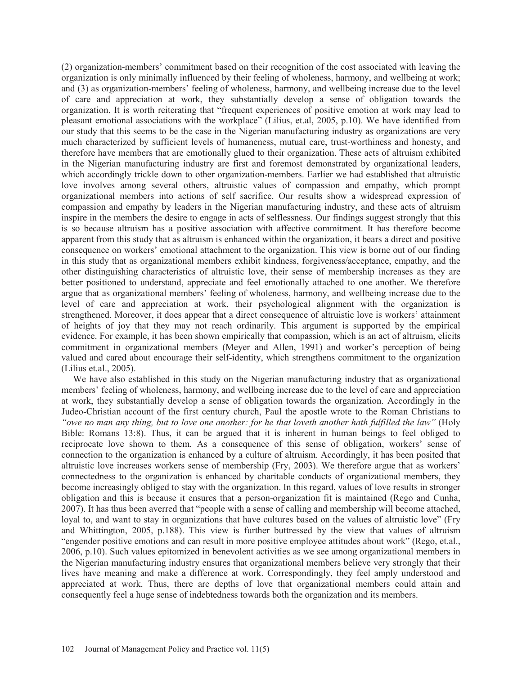(2) organization-members' commitment based on their recognition of the cost associated with leaving the organization is only minimally influenced by their feeling of wholeness, harmony, and wellbeing at work; and (3) as organization-members' feeling of wholeness, harmony, and wellbeing increase due to the level of care and appreciation at work, they substantially develop a sense of obligation towards the organization. It is worth reiterating that "frequent experiences of positive emotion at work may lead to pleasant emotional associations with the workplace" (Lilius, et.al, 2005, p.10). We have identified from our study that this seems to be the case in the Nigerian manufacturing industry as organizations are very much characterized by sufficient levels of humaneness, mutual care, trust-worthiness and honesty, and therefore have members that are emotionally glued to their organization. These acts of altruism exhibited in the Nigerian manufacturing industry are first and foremost demonstrated by organizational leaders, which accordingly trickle down to other organization-members. Earlier we had established that altruistic love involves among several others, altruistic values of compassion and empathy, which prompt organizational members into actions of self sacrifice. Our results show a widespread expression of compassion and empathy by leaders in the Nigerian manufacturing industry, and these acts of altruism inspire in the members the desire to engage in acts of selflessness. Our findings suggest strongly that this is so because altruism has a positive association with affective commitment. It has therefore become apparent from this study that as altruism is enhanced within the organization, it bears a direct and positive consequence on workers' emotional attachment to the organization. This view is borne out of our finding in this study that as organizational members exhibit kindness, forgiveness/acceptance, empathy, and the other distinguishing characteristics of altruistic love, their sense of membership increases as they are better positioned to understand, appreciate and feel emotionally attached to one another. We therefore argue that as organizational members' feeling of wholeness, harmony, and wellbeing increase due to the level of care and appreciation at work, their psychological alignment with the organization is strengthened. Moreover, it does appear that a direct consequence of altruistic love is workers' attainment of heights of joy that they may not reach ordinarily. This argument is supported by the empirical evidence. For example, it has been shown empirically that compassion, which is an act of altruism, elicits commitment in organizational members (Meyer and Allen, 1991) and worker's perception of being valued and cared about encourage their self-identity, which strengthens commitment to the organization (Lilius et.al., 2005).

 We have also established in this study on the Nigerian manufacturing industry that as organizational members' feeling of wholeness, harmony, and wellbeing increase due to the level of care and appreciation at work, they substantially develop a sense of obligation towards the organization. Accordingly in the Judeo-Christian account of the first century church, Paul the apostle wrote to the Roman Christians to *"owe no man any thing, but to love one another: for he that loveth another hath fulfilled the law"* (Holy Bible: Romans 13:8). Thus, it can be argued that it is inherent in human beings to feel obliged to reciprocate love shown to them. As a consequence of this sense of obligation, workers' sense of connection to the organization is enhanced by a culture of altruism. Accordingly, it has been posited that altruistic love increases workers sense of membership (Fry, 2003). We therefore argue that as workers' connectedness to the organization is enhanced by charitable conducts of organizational members, they become increasingly obliged to stay with the organization. In this regard, values of love results in stronger obligation and this is because it ensures that a person-organization fit is maintained (Rego and Cunha, 2007). It has thus been averred that "people with a sense of calling and membership will become attached, loyal to, and want to stay in organizations that have cultures based on the values of altruistic love" (Fry and Whittington, 2005, p.188). This view is further buttressed by the view that values of altruism "engender positive emotions and can result in more positive employee attitudes about work" (Rego, et.al., 2006, p.10). Such values epitomized in benevolent activities as we see among organizational members in the Nigerian manufacturing industry ensures that organizational members believe very strongly that their lives have meaning and make a difference at work. Correspondingly, they feel amply understood and appreciated at work. Thus, there are depths of love that organizational members could attain and consequently feel a huge sense of indebtedness towards both the organization and its members.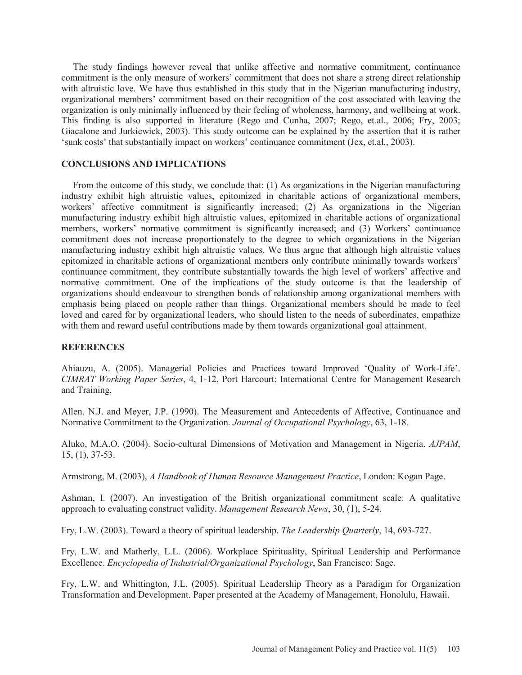The study findings however reveal that unlike affective and normative commitment, continuance commitment is the only measure of workers' commitment that does not share a strong direct relationship with altruistic love. We have thus established in this study that in the Nigerian manufacturing industry, organizational members' commitment based on their recognition of the cost associated with leaving the organization is only minimally influenced by their feeling of wholeness, harmony, and wellbeing at work. This finding is also supported in literature (Rego and Cunha, 2007; Rego, et.al., 2006; Fry, 2003; Giacalone and Jurkiewick, 2003). This study outcome can be explained by the assertion that it is rather 'sunk costs' that substantially impact on workers' continuance commitment (Jex, et.al., 2003).

### **CONCLUSIONS AND IMPLICATIONS**

 From the outcome of this study, we conclude that: (1) As organizations in the Nigerian manufacturing industry exhibit high altruistic values, epitomized in charitable actions of organizational members, workers' affective commitment is significantly increased; (2) As organizations in the Nigerian manufacturing industry exhibit high altruistic values, epitomized in charitable actions of organizational members, workers' normative commitment is significantly increased; and (3) Workers' continuance commitment does not increase proportionately to the degree to which organizations in the Nigerian manufacturing industry exhibit high altruistic values. We thus argue that although high altruistic values epitomized in charitable actions of organizational members only contribute minimally towards workers' continuance commitment, they contribute substantially towards the high level of workers' affective and normative commitment. One of the implications of the study outcome is that the leadership of organizations should endeavour to strengthen bonds of relationship among organizational members with emphasis being placed on people rather than things. Organizational members should be made to feel loved and cared for by organizational leaders, who should listen to the needs of subordinates, empathize with them and reward useful contributions made by them towards organizational goal attainment.

### **REFERENCES**

Ahiauzu, A. (2005). Managerial Policies and Practices toward Improved 'Quality of Work-Life'. *CIMRAT Working Paper Series*, 4, 1-12, Port Harcourt: International Centre for Management Research and Training.

Allen, N.J. and Meyer, J.P. (1990). The Measurement and Antecedents of Affective, Continuance and Normative Commitment to the Organization. *Journal of Occupational Psychology*, 63, 1-18.

Aluko, M.A.O. (2004). Socio-cultural Dimensions of Motivation and Management in Nigeria. *AJPAM*, 15, (1), 37-53.

Armstrong, M. (2003), *A Handbook of Human Resource Management Practice*, London: Kogan Page.

Ashman, I. (2007). An investigation of the British organizational commitment scale: A qualitative approach to evaluating construct validity. *Management Research News*, 30, (1), 5-24.

Fry, L.W. (2003). Toward a theory of spiritual leadership. *The Leadership Quarterly*, 14, 693-727.

Fry, L.W. and Matherly, L.L. (2006). Workplace Spirituality, Spiritual Leadership and Performance Excellence. *Encyclopedia of Industrial/Organizational Psychology*, San Francisco: Sage.

Fry, L.W. and Whittington, J.L. (2005). Spiritual Leadership Theory as a Paradigm for Organization Transformation and Development. Paper presented at the Academy of Management, Honolulu, Hawaii.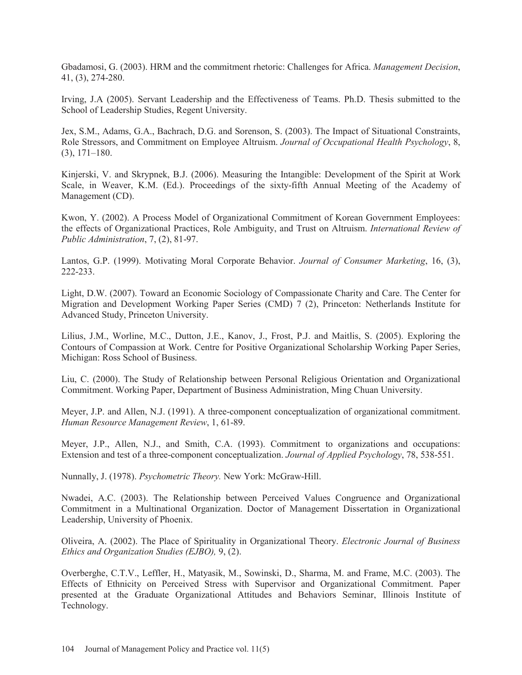Gbadamosi, G. (2003). HRM and the commitment rhetoric: Challenges for Africa. *Management Decision*, 41, (3), 274-280.

Irving, J.A (2005). Servant Leadership and the Effectiveness of Teams. Ph.D. Thesis submitted to the School of Leadership Studies, Regent University.

Jex, S.M., Adams, G.A., Bachrach, D.G. and Sorenson, S. (2003). The Impact of Situational Constraints, Role Stressors, and Commitment on Employee Altruism. *Journal of Occupational Health Psychology*, 8, (3), 171–180.

Kinjerski, V. and Skrypnek, B.J. (2006). Measuring the Intangible: Development of the Spirit at Work Scale, in Weaver, K.M. (Ed.). Proceedings of the sixty-fifth Annual Meeting of the Academy of Management (CD).

Kwon, Y. (2002). A Process Model of Organizational Commitment of Korean Government Employees: the effects of Organizational Practices, Role Ambiguity, and Trust on Altruism. *International Review of Public Administration*, 7, (2), 81-97.

Lantos, G.P. (1999). Motivating Moral Corporate Behavior. *Journal of Consumer Marketing*, 16, (3), 222-233.

Light, D.W. (2007). Toward an Economic Sociology of Compassionate Charity and Care. The Center for Migration and Development Working Paper Series (CMD) 7 (2), Princeton: Netherlands Institute for Advanced Study, Princeton University.

Lilius, J.M., Worline, M.C., Dutton, J.E., Kanov, J., Frost, P.J. and Maitlis, S. (2005). Exploring the Contours of Compassion at Work. Centre for Positive Organizational Scholarship Working Paper Series, Michigan: Ross School of Business.

Liu, C. (2000). The Study of Relationship between Personal Religious Orientation and Organizational Commitment. Working Paper, Department of Business Administration, Ming Chuan University.

Meyer, J.P. and Allen, N.J. (1991). A three-component conceptualization of organizational commitment. *Human Resource Management Review*, 1, 61-89.

Meyer, J.P., Allen, N.J., and Smith, C.A. (1993). Commitment to organizations and occupations: Extension and test of a three-component conceptualization. *Journal of Applied Psychology*, 78, 538-551.

Nunnally, J. (1978). *Psychometric Theory.* New York: McGraw-Hill.

Nwadei, A.C. (2003). The Relationship between Perceived Values Congruence and Organizational Commitment in a Multinational Organization. Doctor of Management Dissertation in Organizational Leadership, University of Phoenix.

Oliveira, A. (2002). The Place of Spirituality in Organizational Theory. *Electronic Journal of Business Ethics and Organization Studies (EJBO),* 9, (2).

Overberghe, C.T.V., Leffler, H., Matyasik, M., Sowinski, D., Sharma, M. and Frame, M.C. (2003). The Effects of Ethnicity on Perceived Stress with Supervisor and Organizational Commitment. Paper presented at the Graduate Organizational Attitudes and Behaviors Seminar, Illinois Institute of Technology.